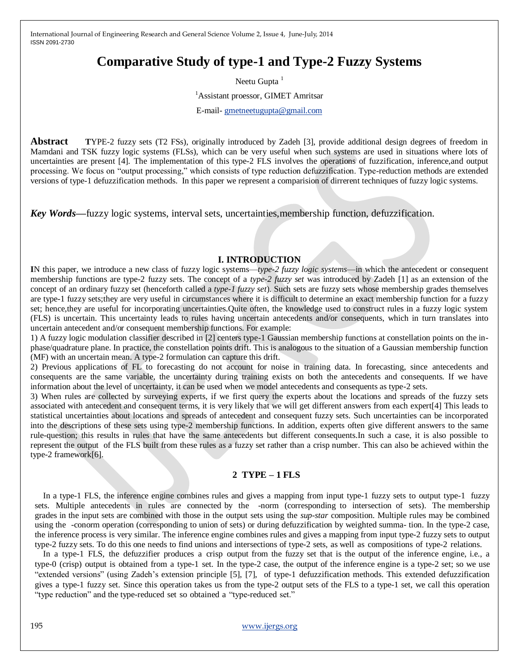## **Comparative Study of type-1 and Type-2 Fuzzy Systems**

Neetu Gupta<sup>1</sup>

<sup>1</sup>Assistant proessor, GIMET Amritsar

E-mail- [gmetneetugupta@gmail.com](mailto:gmetneetugupta@gmail.com)

**Abstract TYPE-2** fuzzy sets (T2 FSs), originally introduced by Zadeh [3], provide additional design degrees of freedom in Mamdani and TSK fuzzy logic systems (FLSs), which can be very useful when such systems are used in situations where lots of uncertainties are present [4]. The implementation of this type-2 FLS involves the operations of fuzzification, inference,and output processing. We focus on "output processing," which consists of type reduction defuzzification. Type-reduction methods are extended versions of type-1 defuzzification methods. In this paper we represent a comparision of dirrerent techniques of fuzzy logic systems.

*Key Words—*fuzzy logic systems, interval sets, uncertainties,membership function, defuzzification.

## **I. INTRODUCTION**

**I**N this paper, we introduce a new class of fuzzy logic systems—*type-2 fuzzy logic systems*—in which the antecedent or consequent membership functions are type-2 fuzzy sets. The concept of a *type-2 fuzzy set* was introduced by Zadeh [1] as an extension of the concept of an ordinary fuzzy set (henceforth called a *type-1 fuzzy set*). Such sets are fuzzy sets whose membership grades themselves are type-1 fuzzy sets;they are very useful in circumstances where it is difficult to determine an exact membership function for a fuzzy set; hence,they are useful for incorporating uncertainties.Quite often, the knowledge used to construct rules in a fuzzy logic system (FLS) is uncertain. This uncertainty leads to rules having uncertain antecedents and/or consequents, which in turn translates into uncertain antecedent and/or consequent membership functions. For example:

1) A fuzzy logic modulation classifier described in [2] centers type-1 Gaussian membership functions at constellation points on the inphase/quadrature plane. In practice, the constellation points drift. This is analogous to the situation of a Gaussian membership function (MF) with an uncertain mean. A type-2 formulation can capture this drift.

2) Previous applications of FL to forecasting do not account for noise in training data. In forecasting, since antecedents and consequents are the same variable, the uncertainty during training exists on both the antecedents and consequents. If we have information about the level of uncertainty, it can be used when we model antecedents and consequents as type-2 sets.

3) When rules are collected by surveying experts, if we first query the experts about the locations and spreads of the fuzzy sets associated with antecedent and consequent terms, it is very likely that we will get different answers from each expert[4] This leads to statistical uncertainties about locations and spreads of antecedent and consequent fuzzy sets. Such uncertainties can be incorporated into the descriptions of these sets using type-2 membership functions. In addition, experts often give different answers to the same rule-question; this results in rules that have the same antecedents but different consequents.In such a case, it is also possible to represent the output of the FLS built from these rules as a fuzzy set rather than a crisp number. This can also be achieved within the type-2 framework[6].

## **2 TYPE – 1 FLS**

In a type-1 FLS, the inference engine combines rules and gives a mapping from input type-1 fuzzy sets to output type-1 fuzzy sets. Multiple antecedents in rules are connected by the -norm (corresponding to intersection of sets). The membership grades in the input sets are combined with those in the output sets using the *sup-star* composition. Multiple rules may be combined using the -conorm operation (corresponding to union of sets) or during defuzzification by weighted summa- tion. In the type-2 case, the inference process is very similar. The inference engine combines rules and gives a mapping from input type-2 fuzzy sets to output type-2 fuzzy sets. To do this one needs to find unions and intersections of type-2 sets, as well as compositions of type-2 relations.

In a type-1 FLS, the defuzzifier produces a crisp output from the fuzzy set that is the output of the inference engine, i.e., a type-0 (crisp) output is obtained from a type-1 set. In the type-2 case, the output of the inference engine is a type-2 set; so we use ―extended versions‖ (using Zadeh's extension principle [5], [7], of type-1 defuzzification methods. This extended defuzzification gives a type-1 fuzzy set. Since this operation takes us from the type-2 output sets of the FLS to a type-1 set, we call this operation "type reduction" and the type-reduced set so obtained a "type-reduced set."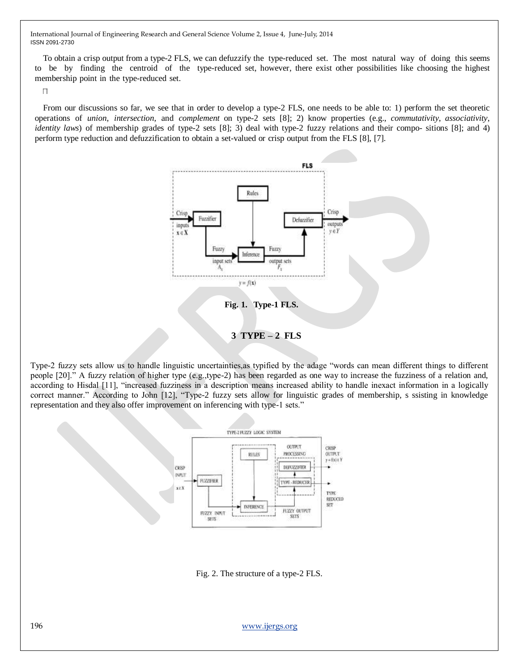To obtain a crisp output from a type-2 FLS, we can defuzzify the type-reduced set. The most natural way of doing this seems to be by finding the centroid of the type-reduced set, however, there exist other possibilities like choosing the highest membership point in the type-reduced set.

 $\Box$ 

From our discussions so far, we see that in order to develop a type-2 FLS, one needs to be able to: 1) perform the set theoretic operations of *union*, *intersection*, and *complement* on type-2 sets [8]; 2) know properties (e.g., *commutativity*, *associativity*, *identity laws*) of membership grades of type-2 sets [8]; 3) deal with type-2 fuzzy relations and their compo- sitions [8]; and 4) perform type reduction and defuzzification to obtain a set-valued or crisp output from the FLS [8], [7].



Type-2 fuzzy sets allow us to handle linguistic uncertainties, as typified by the adage "words can mean different things to different people [20].‖ A fuzzy relation of higher type (e.g.,type-2) has been regarded as one way to increase the fuzziness of a relation and, according to Hisdal [11], "increased fuzziness in a description means increased ability to handle inexact information in a logically correct manner." According to John [12], "Type-2 fuzzy sets allow for linguistic grades of membership, s ssisting in knowledge representation and they also offer improvement on inferencing with type-1 sets."



Fig. 2. The structure of a type-2 FLS.

196 [www.ijergs.org](http://www.ijergs.org/)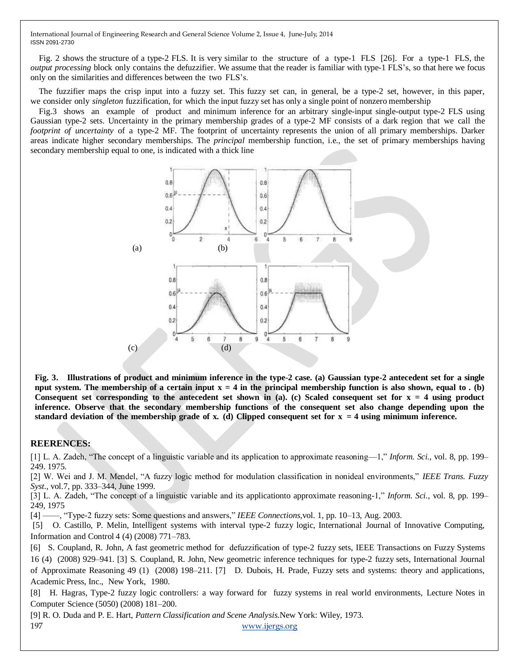Fig. 2 shows the structure of a type-2 FLS. It is very similar to the structure of a type-1 FLS [26]. For a type-1 FLS, the *output processing* block only contains the defuzzifier. We assume that the reader is familiar with type-1 FLS's, so that here we focus only on the similarities and differences between the two FLS's.

The fuzzifier maps the crisp input into a fuzzy set. This fuzzy set can, in general, be a type-2 set, however, in this paper, we consider only *singleton* fuzzification, for which the input fuzzy set has only a single point of nonzero membership

Fig.3 shows an example of product and minimum inference for an arbitrary single-input single-output type-2 FLS using Gaussian type-2 sets. Uncertainty in the primary membership grades of a type-2 MF consists of a dark region that we call the *footprint* of *uncertainty* of a type-2 MF. The footprint of uncertainty represents the union of all primary memberships. Darker areas indicate higher secondary memberships. The *principal* membership function, i.e., the set of primary memberships having secondary membership equal to one, is indicated with a thick line



Fig. 3. Illustrations of product and minimum inference in the type-2 case. (a) Gaussian type-2 antecedent set for a single nput system. The membership of a certain input  $x = 4$  in the principal membership function is also shown, equal to . (b) Consequent set corresponding to the antecedent set shown in (a). (c) Scaled consequent set for  $x = 4$  using product **inference. Observe that the secondary membership functions of the consequent set also change depending upon the** standard deviation of the membership grade of x. (d) Clipped consequent set for  $x = 4$  using minimum inference.

## **REERENCES:**

 $[1]$  L. A. Zadeh, "The concept of a linguistic variable and its application to approximate reasoning—1," *Inform. Sci.*, vol. 8, pp. 199– 249. 1975.

[2] W. Wei and J. M. Mendel, "A fuzzy logic method for modulation classification in nonideal environments," *IEEE Trans. Fuzzy Syst.*, vol.7, pp. 333–344, June 1999.

[3] L. A. Zadeh, "The concept of a linguistic variable and its applicationto approximate reasoning-1," *Inform. Sci.*, vol. 8, pp. 199– 249, 1975

[4] ——, "Type-2 fuzzy sets: Some questions and answers," *IEEE Connections*,vol. 1, pp. 10–13, Aug. 2003.

[5] O. Castillo, P. Melin, Intelligent systems with interval type-2 fuzzy logic, International Journal of Innovative Computing, Information and Control 4 (4) (2008) 771–783.

[6] S. Coupland, R. John, A fast geometric method for defuzzification of type-2 fuzzy sets, IEEE Transactions on Fuzzy Systems 16 (4) (2008) 929–941. [3] S. Coupland, R. John, New geometric inference techniques for type-2 fuzzy sets, International Journal of Approximate Reasoning 49 (1) (2008) 198–211. [7] D. Dubois, H. Prade, Fuzzy sets and systems: theory and applications, Academic Press, Inc., New York, 1980.

[8] H. Hagras, Type-2 fuzzy logic controllers: a way forward for fuzzy systems in real world environments, Lecture Notes in Computer Science (5050) (2008) 181–200.

197 [www.ijergs.org](http://www.ijergs.org/) [9] R. O. Duda and P. E. Hart, *Pattern Classification and Scene Analysis*.New York: Wiley, 1973.